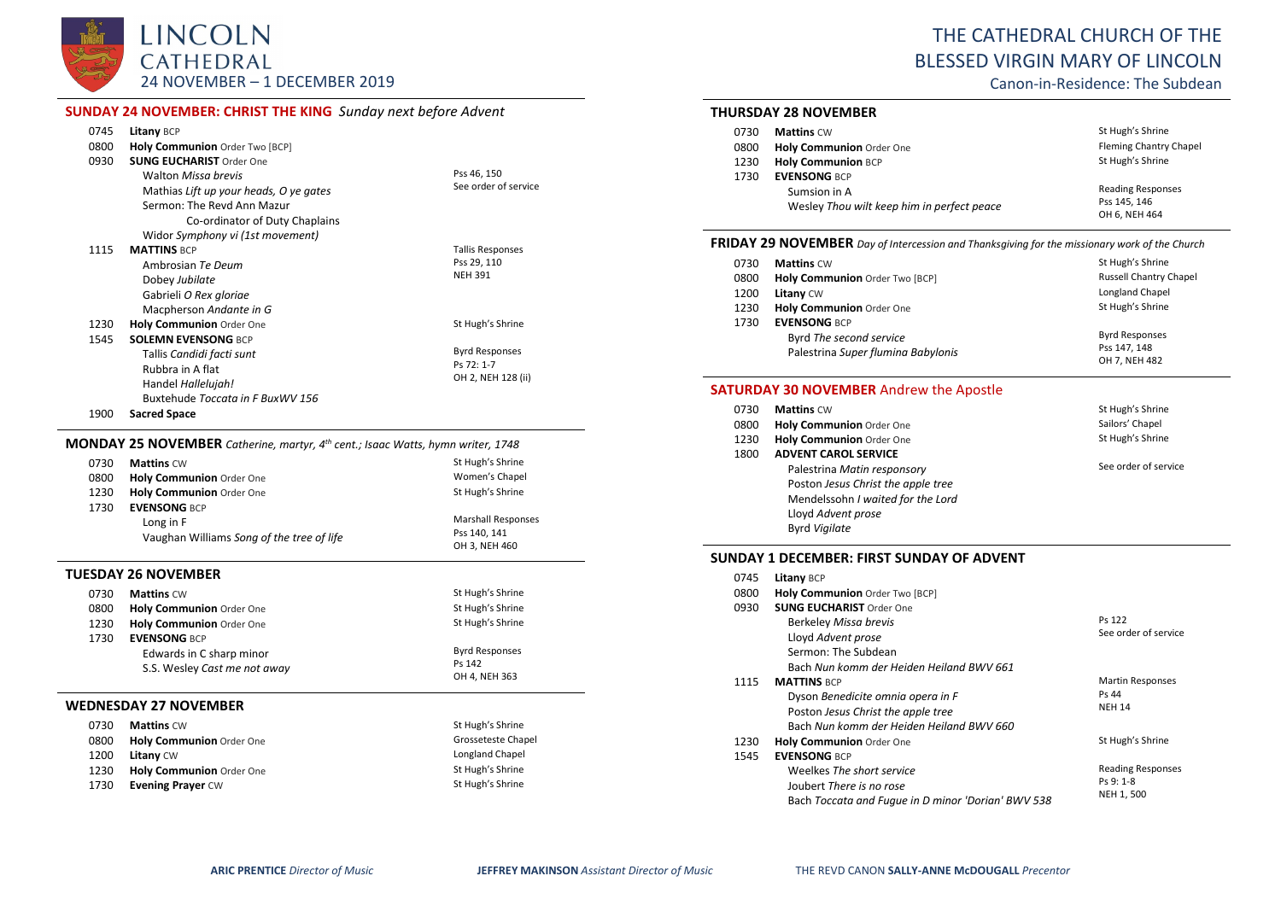

# THE CATHEDRAL CHURCH OF THE BLESSED VIRGIN MARY OF LINCOLN

Canon-in-Residence: The Subdean

# **SUNDAY 24 NOVEMBER: CHRIST THE KING** *Sunday next before Advent*

|      | AT A THOUGHING CHINGE THE KING SURVEY HEAT DEFOIL AGAINST                                          |                           |
|------|----------------------------------------------------------------------------------------------------|---------------------------|
| 0745 | Litany BCP                                                                                         |                           |
| 0800 | Holy Communion Order Two [BCP]                                                                     |                           |
| 0930 | <b>SUNG EUCHARIST Order One</b>                                                                    |                           |
|      | <b>Walton Missa brevis</b>                                                                         | Pss 46, 150               |
|      | Mathias Lift up your heads, O ye gates                                                             | See order of service      |
|      | Sermon: The Revd Ann Mazur                                                                         |                           |
|      | Co-ordinator of Duty Chaplains                                                                     |                           |
|      | Widor Symphony vi (1st movement)                                                                   |                           |
| 1115 | <b>MATTINS BCP</b>                                                                                 | <b>Tallis Responses</b>   |
|      | Ambrosian Te Deum                                                                                  | Pss 29, 110               |
|      | Dobey Jubilate                                                                                     | <b>NEH 391</b>            |
|      | Gabrieli O Rex gloriae                                                                             |                           |
|      | Macpherson Andante in G                                                                            |                           |
| 1230 | Holy Communion Order One                                                                           | St Hugh's Shrine          |
| 1545 | <b>SOLEMN EVENSONG BCP</b>                                                                         |                           |
|      | Tallis Candidi facti sunt                                                                          | <b>Byrd Responses</b>     |
|      | Rubbra in A flat                                                                                   | Ps 72: 1-7                |
|      | Handel Hallelujah!                                                                                 | OH 2, NEH 128 (ii)        |
|      | Buxtehude Toccata in F BuxWV 156                                                                   |                           |
| 1900 | <b>Sacred Space</b>                                                                                |                           |
|      | <b>MONDAY 25 NOVEMBER</b> Catherine, martyr, 4 <sup>th</sup> cent.; Isaac Watts, hymn writer, 1748 |                           |
| 0730 | <b>Mattins CW</b>                                                                                  | St Hugh's Shrine          |
| 0800 | Holy Communion Order One                                                                           | Women's Chapel            |
| 1230 | Holy Communion Order One                                                                           | St Hugh's Shrine          |
| 1730 | <b>EVENSONG BCP</b>                                                                                |                           |
|      | Long in F                                                                                          | <b>Marshall Responses</b> |
|      | Vaughan Williams Song of the tree of life                                                          | Pss 140, 141              |
|      |                                                                                                    | OH 3, NEH 460             |
|      | TUESDAY 26 NOVEMBER                                                                                |                           |
| 0730 | <b>Mattins CW</b>                                                                                  | St Hugh's Shrine          |
| 0800 | Holy Communion Order One                                                                           | St Hugh's Shrine          |
| 1230 | Holy Communion Order One                                                                           | St Hugh's Shrine          |
|      |                                                                                                    |                           |

#### 1730 **EVENSONG** BCP Edwards in C sharp minor S.S. Wesley *Cast me not away* Byrd Responses Ps 142 OH 4, NEH 363 **WEDNESDAY 27 NOVEMBER** 0730 **Mattins** CW St Hugh's Shrine

| <b>U</b> | $1$ viattiis $\cup$ vv          |                    |
|----------|---------------------------------|--------------------|
| 0800     | <b>Holy Communion</b> Order One | Grosseteste Chapel |
| 1200     | <b>Litany CW</b>                | Longland Chapel    |
| 1230     | Holy Communion Order One        | St Hugh's Shrine   |
| 1730     | <b>Evening Praver CW</b>        | St Hugh's Shrine   |
|          |                                 |                    |

# **THURSDAY 28 NOVEMBER**

| 0730 | <b>Mattins CW</b>                                          | St Hugh's Shrine                                          |
|------|------------------------------------------------------------|-----------------------------------------------------------|
| 0800 | <b>Holy Communion Order One</b>                            | <b>Fleming Chantry Chapel</b>                             |
| 1230 | <b>Holy Communion BCP</b>                                  | St Hugh's Shrine                                          |
| 1730 | <b>EVENSONG BCP</b>                                        |                                                           |
|      | Sumsion in A<br>Wesley Thou wilt keep him in perfect peace | <b>Reading Responses</b><br>Pss 145, 146<br>OH 6, NEH 464 |

#### **FRIDAY 29 NOVEMBER** *Day of Intercession and Thanksgiving for the missionary work of the Church*

| 0730 | <b>Mattins CW</b>                  | St Hugh's Shrine              |
|------|------------------------------------|-------------------------------|
| 0800 | Holy Communion Order Two [BCP]     | <b>Russell Chantry Chapel</b> |
| 1200 | <b>Litany CW</b>                   | Longland Chapel               |
| 1230 | <b>Holy Communion Order One</b>    | St Hugh's Shrine              |
| 1730 | <b>EVENSONG BCP</b>                |                               |
|      | Byrd The second service            | <b>Byrd Responses</b>         |
|      | Palestrina Super fluming Babylonis | Pss 147.148                   |
|      |                                    | OH 7, NEH 482                 |

# **SATURDAY 30 NOVEMBER** Andrew the Apostle

| 0730 | <b>Mattins CW</b>                  | St Hugh's Shrine     |
|------|------------------------------------|----------------------|
| 0800 | <b>Holy Communion Order One</b>    | Sailors' Chapel      |
| 1230 | Holy Communion Order One           | St Hugh's Shrine     |
| 1800 | <b>ADVENT CAROL SERVICE</b>        |                      |
|      | Palestrina Matin responsory        | See order of service |
|      | Poston Jesus Christ the apple tree |                      |
|      | Mendelssohn I waited for the Lord  |                      |
|      | Lloyd Advent prose                 |                      |
|      | <b>Byrd Vigilate</b>               |                      |

#### **SUNDAY 1 DECEMBER: FIRST SUNDAY OF ADVENT**

| 0745 | <b>Litany BCP</b>                                  |                          |
|------|----------------------------------------------------|--------------------------|
| 0800 | Holy Communion Order Two [BCP]                     |                          |
| 0930 | <b>SUNG FUCHARIST Order One</b>                    |                          |
|      | Berkeley Missa brevis                              | Ps 122                   |
|      | Lloyd Advent prose                                 | See order of service     |
|      | Sermon: The Subdean                                |                          |
|      | Bach Nun komm der Heiden Heiland BWV 661           |                          |
| 1115 | <b>MATTINS BCP</b>                                 | <b>Martin Responses</b>  |
|      | Dyson Benedicite omnia opera in F                  | Ps 44                    |
|      | Poston Jesus Christ the apple tree                 | <b>NEH 14</b>            |
|      | Bach Nun komm der Heiden Heiland BWV 660           |                          |
| 1230 | Holy Communion Order One                           | St Hugh's Shrine         |
| 1545 | <b>EVENSONG BCP</b>                                |                          |
|      | Weelkes The short service                          | <b>Reading Responses</b> |
|      | Joubert There is no rose                           | Ps 9: 1-8                |
|      | Bach Toccata and Fugue in D minor 'Dorian' BWV 538 | NEH 1, 500               |